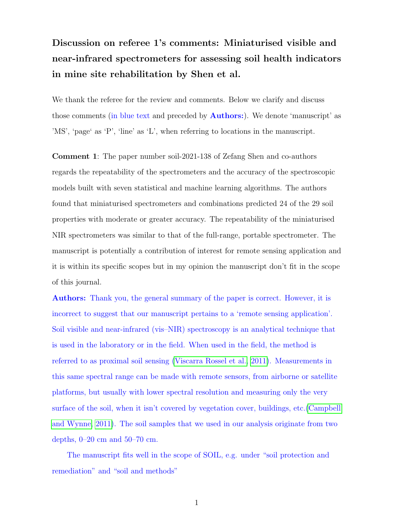## Discussion on referee 1's comments: Miniaturised visible and near-infrared spectrometers for assessing soil health indicators in mine site rehabilitation by Shen et al.

We thank the referee for the review and comments. Below we clarify and discuss those comments (in blue text and preceded by **Authors:**). We denote 'manuscript' as 'MS', 'page' as 'P', 'line' as 'L', when referring to locations in the manuscript.

Comment 1: The paper number soil-2021-138 of Zefang Shen and co-authors regards the repeatability of the spectrometers and the accuracy of the spectroscopic models built with seven statistical and machine learning algorithms. The authors found that miniaturised spectrometers and combinations predicted 24 of the 29 soil properties with moderate or greater accuracy. The repeatability of the miniaturised NIR spectrometers was similar to that of the full-range, portable spectrometer. The manuscript is potentially a contribution of interest for remote sensing application and it is within its specific scopes but in my opinion the manuscript don't fit in the scope of this journal.

Authors: Thank you, the general summary of the paper is correct. However, it is incorrect to suggest that our manuscript pertains to a 'remote sensing application'. Soil visible and near-infrared (vis–NIR) spectroscopy is an analytical technique that is used in the laboratory or in the field. When used in the field, the method is referred to as proximal soil sensing [\(Viscarra Rossel et al., 2011\)](#page-10-0). Measurements in this same spectral range can be made with remote sensors, from airborne or satellite platforms, but usually with lower spectral resolution and measuring only the very surface of the soil, when it isn't covered by vegetation cover, buildings, etc.[\(Campbell](#page-8-0) [and Wynne, 2011\)](#page-8-0). The soil samples that we used in our analysis originate from two depths,  $0-20$  cm and  $50-70$  cm.

The manuscript fits well in the scope of SOIL, e.g. under "soil protection and remediation" and "soil and methods"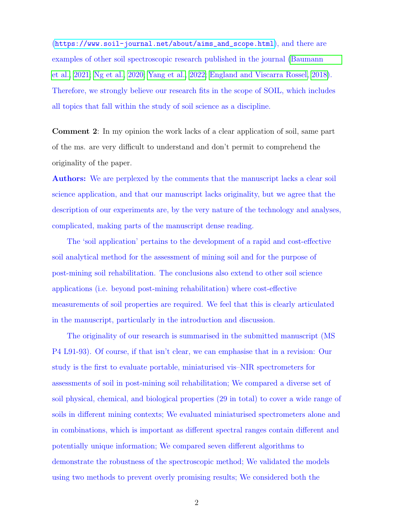([https://www.soil-journal.net/about/aims\\_and\\_scope.html](https://www.soil-journal.net/about/aims_and_scope.html)), and there are examples of other soil spectroscopic research published in the journal [\(Baumann](#page-8-1) [et al., 2021;](#page-8-1) [Ng et al., 2020;](#page-9-0) [Yang et al., 2022;](#page-10-1) [England and Viscarra Rossel, 2018\)](#page-8-2). Therefore, we strongly believe our research fits in the scope of SOIL, which includes all topics that fall within the study of soil science as a discipline.

Comment 2: In my opinion the work lacks of a clear application of soil, same part of the ms. are very difficult to understand and don't permit to comprehend the originality of the paper.

Authors: We are perplexed by the comments that the manuscript lacks a clear soil science application, and that our manuscript lacks originality, but we agree that the description of our experiments are, by the very nature of the technology and analyses, complicated, making parts of the manuscript dense reading.

The 'soil application' pertains to the development of a rapid and cost-effective soil analytical method for the assessment of mining soil and for the purpose of post-mining soil rehabilitation. The conclusions also extend to other soil science applications (i.e. beyond post-mining rehabilitation) where cost-effective measurements of soil properties are required. We feel that this is clearly articulated in the manuscript, particularly in the introduction and discussion.

The originality of our research is summarised in the submitted manuscript (MS P4 L91-93). Of course, if that isn't clear, we can emphasise that in a revision: Our study is the first to evaluate portable, miniaturised vis–NIR spectrometers for assessments of soil in post-mining soil rehabilitation; We compared a diverse set of soil physical, chemical, and biological properties (29 in total) to cover a wide range of soils in different mining contexts; We evaluated miniaturised spectrometers alone and in combinations, which is important as different spectral ranges contain different and potentially unique information; We compared seven different algorithms to demonstrate the robustness of the spectroscopic method; We validated the models using two methods to prevent overly promising results; We considered both the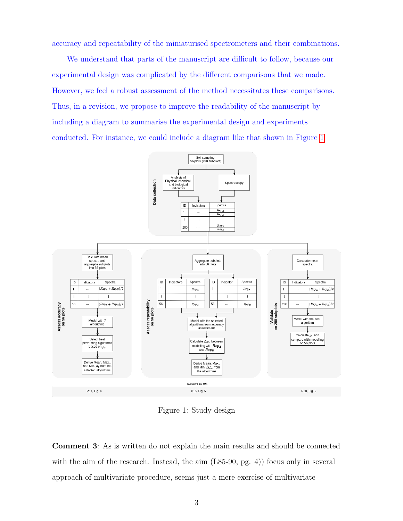accuracy and repeatability of the miniaturised spectrometers and their combinations.

We understand that parts of the manuscript are difficult to follow, because our experimental design was complicated by the different comparisons that we made. However, we feel a robust assessment of the method necessitates these comparisons. Thus, in a revision, we propose to improve the readability of the manuscript by including a diagram to summarise the experimental design and experiments conducted. For instance, we could include a diagram like that shown in Figure [1.](#page-2-0)



<span id="page-2-0"></span>Figure 1: Study design

Comment 3: As is written do not explain the main results and should be connected with the aim of the research. Instead, the aim  $(L85-90, pg. 4)$  focus only in several approach of multivariate procedure, seems just a mere exercise of multivariate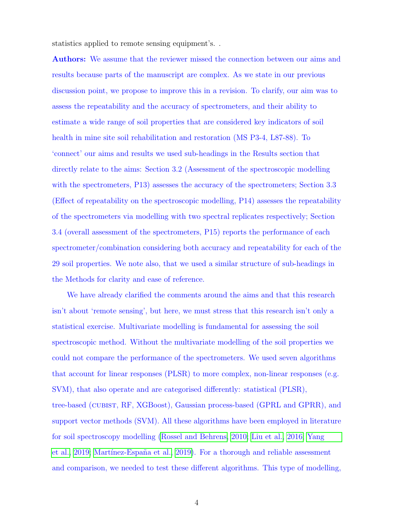statistics applied to remote sensing equipment's. .

Authors: We assume that the reviewer missed the connection between our aims and results because parts of the manuscript are complex. As we state in our previous discussion point, we propose to improve this in a revision. To clarify, our aim was to assess the repeatability and the accuracy of spectrometers, and their ability to estimate a wide range of soil properties that are considered key indicators of soil health in mine site soil rehabilitation and restoration (MS P3-4, L87-88). To 'connect' our aims and results we used sub-headings in the Results section that directly relate to the aims: Section 3.2 (Assessment of the spectroscopic modelling with the spectrometers, P13) assesses the accuracy of the spectrometers; Section 3.3 (Effect of repeatability on the spectroscopic modelling, P14) assesses the repeatability of the spectrometers via modelling with two spectral replicates respectively; Section 3.4 (overall assessment of the spectrometers, P15) reports the performance of each spectrometer/combination considering both accuracy and repeatability for each of the 29 soil properties. We note also, that we used a similar structure of sub-headings in the Methods for clarity and ease of reference.

We have already clarified the comments around the aims and that this research isn't about 'remote sensing', but here, we must stress that this research isn't only a statistical exercise. Multivariate modelling is fundamental for assessing the soil spectroscopic method. Without the multivariate modelling of the soil properties we could not compare the performance of the spectrometers. We used seven algorithms that account for linear responses (PLSR) to more complex, non-linear responses (e.g. SVM), that also operate and are categorised differently: statistical (PLSR), tree-based (cubist, RF, XGBoost), Gaussian process-based (GPRL and GPRR), and support vector methods (SVM). All these algorithms have been employed in literature for soil spectroscopy modelling [\(Rossel and Behrens, 2010;](#page-10-2) [Liu et al., 2016;](#page-9-1) [Yang](#page-10-3) [et al., 2019;](#page-10-3) Martínez-España et al., 2019). For a thorough and reliable assessment and comparison, we needed to test these different algorithms. This type of modelling,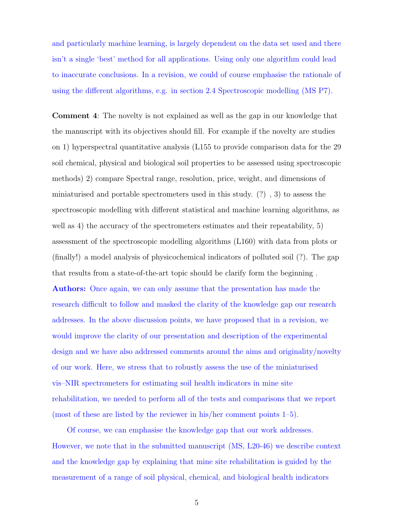and particularly machine learning, is largely dependent on the data set used and there isn't a single 'best' method for all applications. Using only one algorithm could lead to inaccurate conclusions. In a revision, we could of course emphasise the rationale of using the different algorithms, e.g. in section 2.4 Spectroscopic modelling (MS P7).

Comment 4: The novelty is not explained as well as the gap in our knowledge that the manuscript with its objectives should fill. For example if the novelty are studies on 1) hyperspectral quantitative analysis (L155 to provide comparison data for the 29 soil chemical, physical and biological soil properties to be assessed using spectroscopic methods) 2) compare Spectral range, resolution, price, weight, and dimensions of miniaturised and portable spectrometers used in this study. (?) , 3) to assess the spectroscopic modelling with different statistical and machine learning algorithms, as well as 4) the accuracy of the spectrometers estimates and their repeatability, 5) assessment of the spectroscopic modelling algorithms (L160) with data from plots or (finally!) a model analysis of physicochemical indicators of polluted soil (?). The gap that results from a state-of-the-art topic should be clarify form the beginning .

Authors: Once again, we can only assume that the presentation has made the research difficult to follow and masked the clarity of the knowledge gap our research addresses. In the above discussion points, we have proposed that in a revision, we would improve the clarity of our presentation and description of the experimental design and we have also addressed comments around the aims and originality/novelty of our work. Here, we stress that to robustly assess the use of the miniaturised vis–NIR spectrometers for estimating soil health indicators in mine site rehabilitation, we needed to perform all of the tests and comparisons that we report (most of these are listed by the reviewer in his/her comment points 1–5).

Of course, we can emphasise the knowledge gap that our work addresses. However, we note that in the submitted manuscript (MS, L20-46) we describe context and the knowledge gap by explaining that mine site rehabilitation is guided by the measurement of a range of soil physical, chemical, and biological health indicators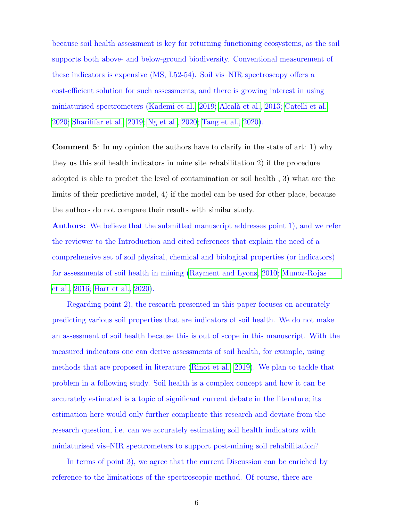because soil health assessment is key for returning functioning ecosystems, as the soil supports both above- and below-ground biodiversity. Conventional measurement of these indicators is expensive (MS, L52-54). Soil vis–NIR spectroscopy offers a cost-efficient solution for such assessments, and there is growing interest in using miniaturised spectrometers [\(Kademi et al., 2019;](#page-9-3) [Alcal`a et al., 2013;](#page-8-3) [Catelli et al.,](#page-8-4) [2020;](#page-8-4) [Sharififar et al., 2019;](#page-10-4) [Ng et al., 2020;](#page-9-0) [Tang et al., 2020\)](#page-10-5).

Comment 5: In my opinion the authors have to clarify in the state of art: 1) why they us this soil health indicators in mine site rehabilitation 2) if the procedure adopted is able to predict the level of contamination or soil health , 3) what are the limits of their predictive model, 4) if the model can be used for other place, because the authors do not compare their results with similar study.

Authors: We believe that the submitted manuscript addresses point 1), and we refer the reviewer to the Introduction and cited references that explain the need of a comprehensive set of soil physical, chemical and biological properties (or indicators) for assessments of soil health in mining [\(Rayment and Lyons, 2010;](#page-9-4) [Munoz-Rojas](#page-9-5) [et al., 2016;](#page-9-5) [Hart et al., 2020\)](#page-8-5).

Regarding point 2), the research presented in this paper focuses on accurately predicting various soil properties that are indicators of soil health. We do not make an assessment of soil health because this is out of scope in this manuscript. With the measured indicators one can derive assessments of soil health, for example, using methods that are proposed in literature [\(Rinot et al., 2019\)](#page-9-6). We plan to tackle that problem in a following study. Soil health is a complex concept and how it can be accurately estimated is a topic of significant current debate in the literature; its estimation here would only further complicate this research and deviate from the research question, i.e. can we accurately estimating soil health indicators with miniaturised vis–NIR spectrometers to support post-mining soil rehabilitation?

In terms of point 3), we agree that the current Discussion can be enriched by reference to the limitations of the spectroscopic method. Of course, there are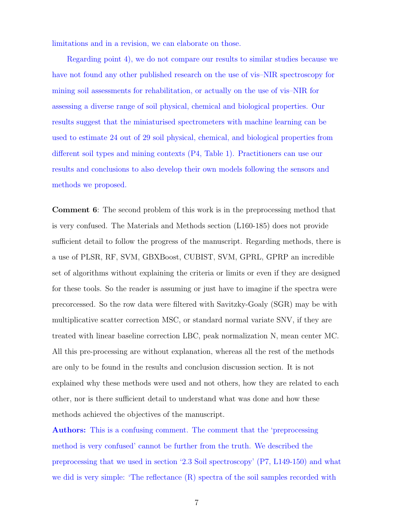limitations and in a revision, we can elaborate on those.

Regarding point 4), we do not compare our results to similar studies because we have not found any other published research on the use of vis–NIR spectroscopy for mining soil assessments for rehabilitation, or actually on the use of vis–NIR for assessing a diverse range of soil physical, chemical and biological properties. Our results suggest that the miniaturised spectrometers with machine learning can be used to estimate 24 out of 29 soil physical, chemical, and biological properties from different soil types and mining contexts (P4, Table 1). Practitioners can use our results and conclusions to also develop their own models following the sensors and methods we proposed.

Comment 6: The second problem of this work is in the preprocessing method that is very confused. The Materials and Methods section (L160-185) does not provide sufficient detail to follow the progress of the manuscript. Regarding methods, there is a use of PLSR, RF, SVM, GBXBoost, CUBIST, SVM, GPRL, GPRP an incredible set of algorithms without explaining the criteria or limits or even if they are designed for these tools. So the reader is assuming or just have to imagine if the spectra were precorcessed. So the row data were filtered with Savitzky-Goaly (SGR) may be with multiplicative scatter correction MSC, or standard normal variate SNV, if they are treated with linear baseline correction LBC, peak normalization N, mean center MC. All this pre-processing are without explanation, whereas all the rest of the methods are only to be found in the results and conclusion discussion section. It is not explained why these methods were used and not others, how they are related to each other, nor is there sufficient detail to understand what was done and how these methods achieved the objectives of the manuscript.

Authors: This is a confusing comment. The comment that the 'preprocessing method is very confused' cannot be further from the truth. We described the preprocessing that we used in section '2.3 Soil spectroscopy' (P7, L149-150) and what we did is very simple: 'The reflectance (R) spectra of the soil samples recorded with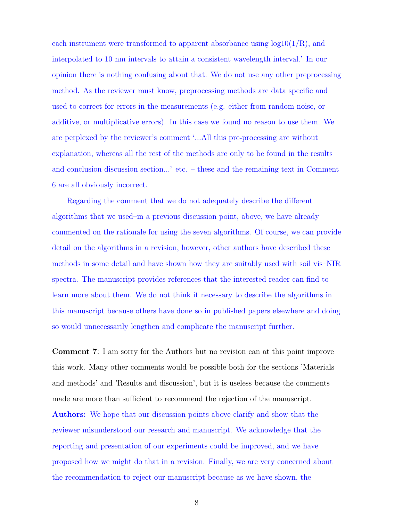each instrument were transformed to apparent absorbance using  $log10(1/R)$ , and interpolated to 10 nm intervals to attain a consistent wavelength interval.' In our opinion there is nothing confusing about that. We do not use any other preprocessing method. As the reviewer must know, preprocessing methods are data specific and used to correct for errors in the measurements (e.g. either from random noise, or additive, or multiplicative errors). In this case we found no reason to use them. We are perplexed by the reviewer's comment '...All this pre-processing are without explanation, whereas all the rest of the methods are only to be found in the results and conclusion discussion section...' etc. – these and the remaining text in Comment 6 are all obviously incorrect.

Regarding the comment that we do not adequately describe the different algorithms that we used–in a previous discussion point, above, we have already commented on the rationale for using the seven algorithms. Of course, we can provide detail on the algorithms in a revision, however, other authors have described these methods in some detail and have shown how they are suitably used with soil vis–NIR spectra. The manuscript provides references that the interested reader can find to learn more about them. We do not think it necessary to describe the algorithms in this manuscript because others have done so in published papers elsewhere and doing so would unnecessarily lengthen and complicate the manuscript further.

Comment 7: I am sorry for the Authors but no revision can at this point improve this work. Many other comments would be possible both for the sections 'Materials and methods' and 'Results and discussion', but it is useless because the comments made are more than sufficient to recommend the rejection of the manuscript.

Authors: We hope that our discussion points above clarify and show that the reviewer misunderstood our research and manuscript. We acknowledge that the reporting and presentation of our experiments could be improved, and we have proposed how we might do that in a revision. Finally, we are very concerned about the recommendation to reject our manuscript because as we have shown, the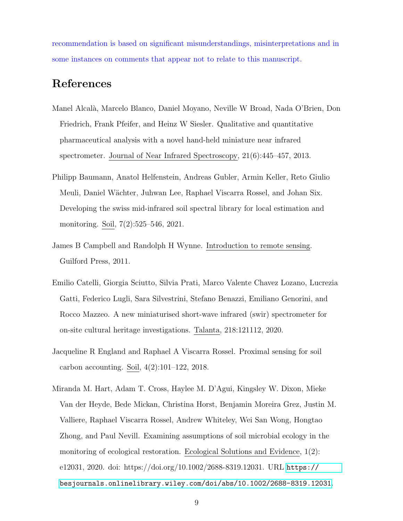recommendation is based on significant misunderstandings, misinterpretations and in some instances on comments that appear not to relate to this manuscript.

## References

- <span id="page-8-3"></span>Manel Alcal`a, Marcelo Blanco, Daniel Moyano, Neville W Broad, Nada O'Brien, Don Friedrich, Frank Pfeifer, and Heinz W Siesler. Qualitative and quantitative pharmaceutical analysis with a novel hand-held miniature near infrared spectrometer. Journal of Near Infrared Spectroscopy, 21(6):445–457, 2013.
- <span id="page-8-1"></span>Philipp Baumann, Anatol Helfenstein, Andreas Gubler, Armin Keller, Reto Giulio Meuli, Daniel W¨achter, Juhwan Lee, Raphael Viscarra Rossel, and Johan Six. Developing the swiss mid-infrared soil spectral library for local estimation and monitoring. Soil, 7(2):525–546, 2021.
- <span id="page-8-0"></span>James B Campbell and Randolph H Wynne. Introduction to remote sensing. Guilford Press, 2011.
- <span id="page-8-4"></span>Emilio Catelli, Giorgia Sciutto, Silvia Prati, Marco Valente Chavez Lozano, Lucrezia Gatti, Federico Lugli, Sara Silvestrini, Stefano Benazzi, Emiliano Genorini, and Rocco Mazzeo. A new miniaturised short-wave infrared (swir) spectrometer for on-site cultural heritage investigations. Talanta, 218:121112, 2020.
- <span id="page-8-2"></span>Jacqueline R England and Raphael A Viscarra Rossel. Proximal sensing for soil carbon accounting. Soil, 4(2):101–122, 2018.
- <span id="page-8-5"></span>Miranda M. Hart, Adam T. Cross, Haylee M. D'Agui, Kingsley W. Dixon, Mieke Van der Heyde, Bede Mickan, Christina Horst, Benjamin Moreira Grez, Justin M. Valliere, Raphael Viscarra Rossel, Andrew Whiteley, Wei San Wong, Hongtao Zhong, and Paul Nevill. Examining assumptions of soil microbial ecology in the monitoring of ecological restoration. Ecological Solutions and Evidence, 1(2): e12031, 2020. doi: https://doi.org/10.1002/2688-8319.12031. URL [https://](https://besjournals.onlinelibrary.wiley.com/doi/abs/10.1002/2688-8319.12031) [besjournals.onlinelibrary.wiley.com/doi/abs/10.1002/2688-8319.12031](https://besjournals.onlinelibrary.wiley.com/doi/abs/10.1002/2688-8319.12031).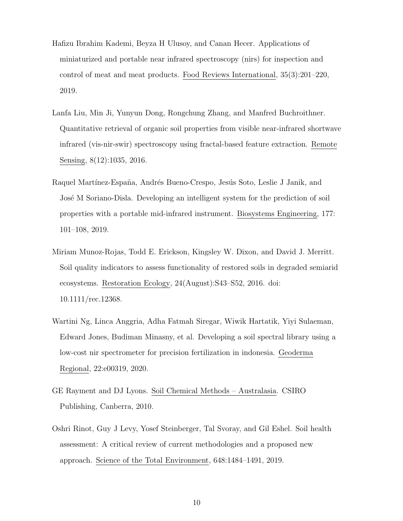- <span id="page-9-3"></span>Hafizu Ibrahim Kademi, Beyza H Ulusoy, and Canan Hecer. Applications of miniaturized and portable near infrared spectroscopy (nirs) for inspection and control of meat and meat products. Food Reviews International, 35(3):201–220, 2019.
- <span id="page-9-1"></span>Lanfa Liu, Min Ji, Yunyun Dong, Rongchung Zhang, and Manfred Buchroithner. Quantitative retrieval of organic soil properties from visible near-infrared shortwave infrared (vis-nir-swir) spectroscopy using fractal-based feature extraction. Remote Sensing, 8(12):1035, 2016.
- <span id="page-9-2"></span>Raquel Martínez-España, Andrés Bueno-Crespo, Jesús Soto, Leslie J Janik, and José M Soriano-Disla. Developing an intelligent system for the prediction of soil properties with a portable mid-infrared instrument. Biosystems Engineering, 177: 101–108, 2019.
- <span id="page-9-5"></span>Miriam Munoz-Rojas, Todd E. Erickson, Kingsley W. Dixon, and David J. Merritt. Soil quality indicators to assess functionality of restored soils in degraded semiarid ecosystems. Restoration Ecology, 24(August):S43–S52, 2016. doi: 10.1111/rec.12368.
- <span id="page-9-0"></span>Wartini Ng, Linca Anggria, Adha Fatmah Siregar, Wiwik Hartatik, Yiyi Sulaeman, Edward Jones, Budiman Minasny, et al. Developing a soil spectral library using a low-cost nir spectrometer for precision fertilization in indonesia. Geoderma Regional, 22:e00319, 2020.
- <span id="page-9-4"></span>GE Rayment and DJ Lyons. Soil Chemical Methods – Australasia. CSIRO Publishing, Canberra, 2010.
- <span id="page-9-6"></span>Oshri Rinot, Guy J Levy, Yosef Steinberger, Tal Svoray, and Gil Eshel. Soil health assessment: A critical review of current methodologies and a proposed new approach. Science of the Total Environment, 648:1484–1491, 2019.